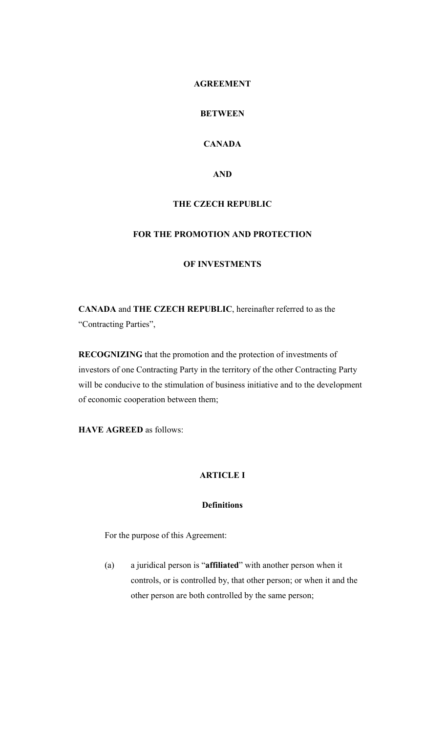### **AGREEMENT**

# **BETWEEN**

# **CANADA**

### **AND**

### **THE CZECH REPUBLIC**

## **FOR THE PROMOTION AND PROTECTION**

#### **OF INVESTMENTS**

**CANADA** and **THE CZECH REPUBLIC**, hereinafter referred to as the "Contracting Parties",

**RECOGNIZING** that the promotion and the protection of investments of investors of one Contracting Party in the territory of the other Contracting Party will be conducive to the stimulation of business initiative and to the development of economic cooperation between them;

**HAVE AGREED** as follows:

## **ARTICLE I**

## **Definitions**

For the purpose of this Agreement:

(a) a juridical person is "**affiliated**" with another person when it controls, or is controlled by, that other person; or when it and the other person are both controlled by the same person;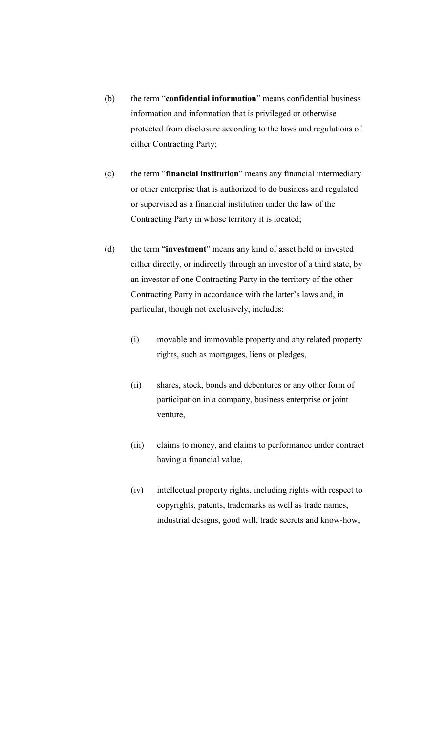- (b) the term "**confidential information**" means confidential business information and information that is privileged or otherwise protected from disclosure according to the laws and regulations of either Contracting Party;
- (c) the term "**financial institution**" means any financial intermediary or other enterprise that is authorized to do business and regulated or supervised as a financial institution under the law of the Contracting Party in whose territory it is located;
- (d) the term "**investment**" means any kind of asset held or invested either directly, or indirectly through an investor of a third state, by an investor of one Contracting Party in the territory of the other Contracting Party in accordance with the latter's laws and, in particular, though not exclusively, includes:
	- (i) movable and immovable property and any related property rights, such as mortgages, liens or pledges,
	- (ii) shares, stock, bonds and debentures or any other form of participation in a company, business enterprise or joint venture,
	- (iii) claims to money, and claims to performance under contract having a financial value,
	- (iv) intellectual property rights, including rights with respect to copyrights, patents, trademarks as well as trade names, industrial designs, good will, trade secrets and know-how,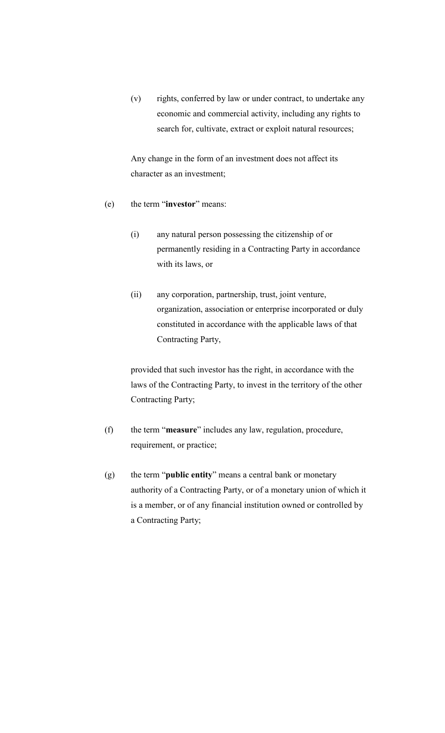(v) rights, conferred by law or under contract, to undertake any economic and commercial activity, including any rights to search for, cultivate, extract or exploit natural resources;

Any change in the form of an investment does not affect its character as an investment;

- (e) the term "**investor**" means:
	- (i) any natural person possessing the citizenship of or permanently residing in a Contracting Party in accordance with its laws, or
	- (ii) any corporation, partnership, trust, joint venture, organization, association or enterprise incorporated or duly constituted in accordance with the applicable laws of that Contracting Party,

provided that such investor has the right, in accordance with the laws of the Contracting Party, to invest in the territory of the other Contracting Party;

- (f) the term "**measure**" includes any law, regulation, procedure, requirement, or practice;
- (g) the term "**public entity**" means a central bank or monetary authority of a Contracting Party, or of a monetary union of which it is a member, or of any financial institution owned or controlled by a Contracting Party;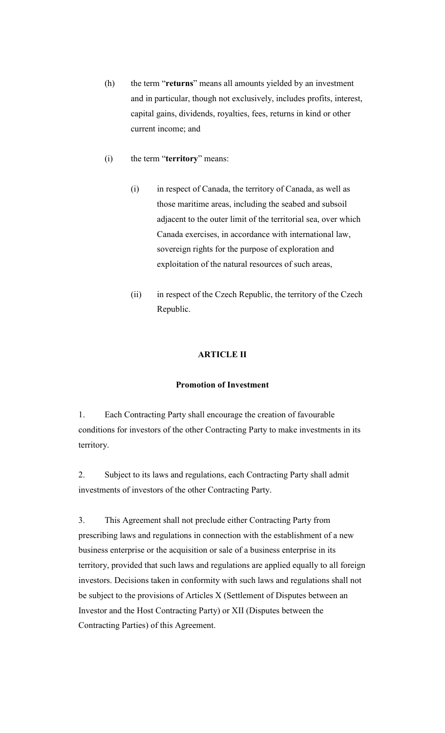- (h) the term "**returns**" means all amounts yielded by an investment and in particular, though not exclusively, includes profits, interest, capital gains, dividends, royalties, fees, returns in kind or other current income; and
- (i) the term "**territory**" means:
	- (i) in respect of Canada, the territory of Canada, as well as those maritime areas, including the seabed and subsoil adjacent to the outer limit of the territorial sea, over which Canada exercises, in accordance with international law, sovereign rights for the purpose of exploration and exploitation of the natural resources of such areas,
	- (ii) in respect of the Czech Republic, the territory of the Czech Republic.

## **ARTICLE II**

### **Promotion of Investment**

1. Each Contracting Party shall encourage the creation of favourable conditions for investors of the other Contracting Party to make investments in its territory.

2. Subject to its laws and regulations, each Contracting Party shall admit investments of investors of the other Contracting Party.

3. This Agreement shall not preclude either Contracting Party from prescribing laws and regulations in connection with the establishment of a new business enterprise or the acquisition or sale of a business enterprise in its territory, provided that such laws and regulations are applied equally to all foreign investors. Decisions taken in conformity with such laws and regulations shall not be subject to the provisions of Articles X (Settlement of Disputes between an Investor and the Host Contracting Party) or XII (Disputes between the Contracting Parties) of this Agreement.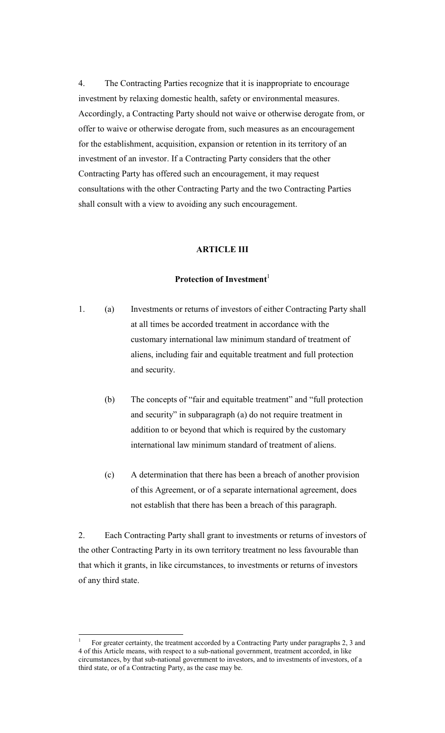4. The Contracting Parties recognize that it is inappropriate to encourage investment by relaxing domestic health, safety or environmental measures. Accordingly, a Contracting Party should not waive or otherwise derogate from, or offer to waive or otherwise derogate from, such measures as an encouragement for the establishment, acquisition, expansion or retention in its territory of an investment of an investor. If a Contracting Party considers that the other Contracting Party has offered such an encouragement, it may request consultations with the other Contracting Party and the two Contracting Parties shall consult with a view to avoiding any such encouragement.

#### **ARTICLE III**

#### **Protection of Investment**

- 1. (a) Investments or returns of investors of either Contracting Party shall at all times be accorded treatment in accordance with the customary international law minimum standard of treatment of aliens, including fair and equitable treatment and full protection and security.
	- (b) The concepts of "fair and equitable treatment" and "full protection and security" in subparagraph (a) do not require treatment in addition to or beyond that which is required by the customary international law minimum standard of treatment of aliens.
	- (c) A determination that there has been a breach of another provision of this Agreement, or of a separate international agreement, does not establish that there has been a breach of this paragraph.

2. Each Contracting Party shall grant to investments or returns of investors of the other Contracting Party in its own territory treatment no less favourable than that which it grants, in like circumstances, to investments or returns of investors of any third state.

<sup>1</sup> For greater certainty, the treatment accorded by a Contracting Party under paragraphs 2, 3 and 4 of this Article means, with respect to a sub-national government, treatment accorded, in like circumstances, by that sub-national government to investors, and to investments of investors, of a third state, or of a Contracting Party, as the case may be.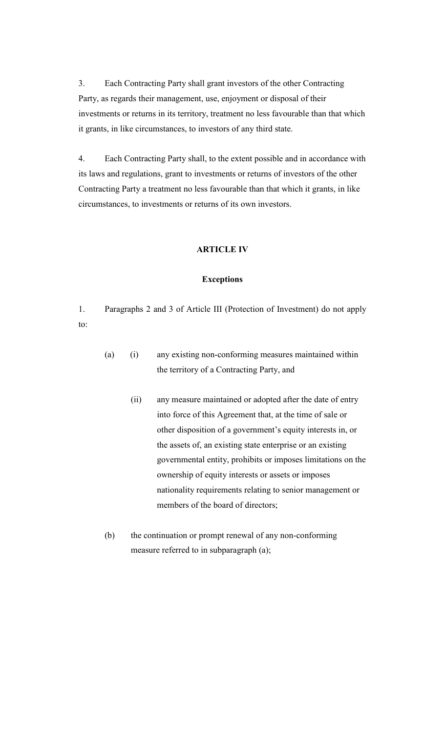3. Each Contracting Party shall grant investors of the other Contracting Party, as regards their management, use, enjoyment or disposal of their investments or returns in its territory, treatment no less favourable than that which it grants, in like circumstances, to investors of any third state.

4. Each Contracting Party shall, to the extent possible and in accordance with its laws and regulations, grant to investments or returns of investors of the other Contracting Party a treatment no less favourable than that which it grants, in like circumstances, to investments or returns of its own investors.

#### **ARTICLE IV**

#### **Exceptions**

1. Paragraphs 2 and 3 of Article III (Protection of Investment) do not apply to:

- (a) (i) any existing non-conforming measures maintained within the territory of a Contracting Party, and
	- (ii) any measure maintained or adopted after the date of entry into force of this Agreement that, at the time of sale or other disposition of a government's equity interests in, or the assets of, an existing state enterprise or an existing governmental entity, prohibits or imposes limitations on the ownership of equity interests or assets or imposes nationality requirements relating to senior management or members of the board of directors;
- (b) the continuation or prompt renewal of any non-conforming measure referred to in subparagraph (a);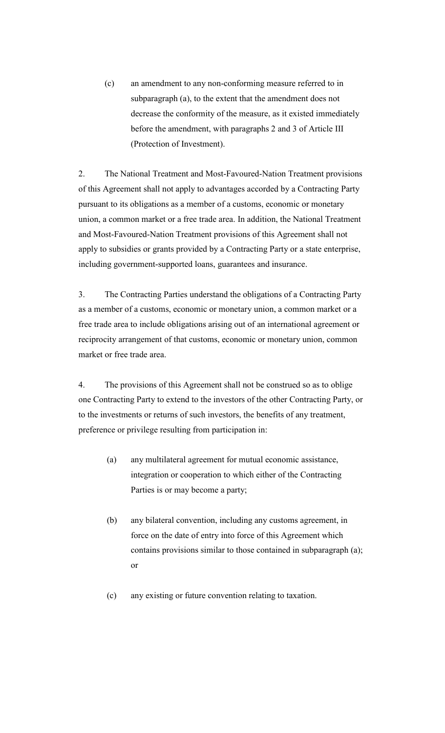(c) an amendment to any non-conforming measure referred to in subparagraph (a), to the extent that the amendment does not decrease the conformity of the measure, as it existed immediately before the amendment, with paragraphs 2 and 3 of Article III (Protection of Investment).

2. The National Treatment and Most-Favoured-Nation Treatment provisions of this Agreement shall not apply to advantages accorded by a Contracting Party pursuant to its obligations as a member of a customs, economic or monetary union, a common market or a free trade area. In addition, the National Treatment and Most-Favoured-Nation Treatment provisions of this Agreement shall not apply to subsidies or grants provided by a Contracting Party or a state enterprise, including government-supported loans, guarantees and insurance.

3. The Contracting Parties understand the obligations of a Contracting Party as a member of a customs, economic or monetary union, a common market or a free trade area to include obligations arising out of an international agreement or reciprocity arrangement of that customs, economic or monetary union, common market or free trade area.

4. The provisions of this Agreement shall not be construed so as to oblige one Contracting Party to extend to the investors of the other Contracting Party, or to the investments or returns of such investors, the benefits of any treatment, preference or privilege resulting from participation in:

- (a) any multilateral agreement for mutual economic assistance, integration or cooperation to which either of the Contracting Parties is or may become a party;
- (b) any bilateral convention, including any customs agreement, in force on the date of entry into force of this Agreement which contains provisions similar to those contained in subparagraph (a); or
- (c) any existing or future convention relating to taxation.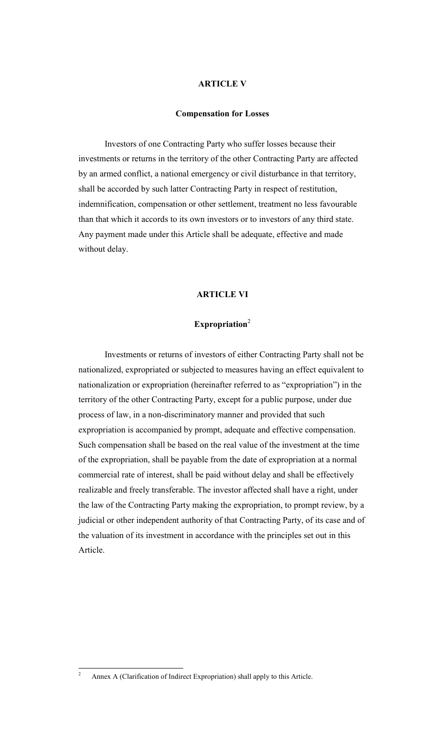### **ARTICLE V**

#### **Compensation for Losses**

Investors of one Contracting Party who suffer losses because their investments or returns in the territory of the other Contracting Party are affected by an armed conflict, a national emergency or civil disturbance in that territory, shall be accorded by such latter Contracting Party in respect of restitution, indemnification, compensation or other settlement, treatment no less favourable than that which it accords to its own investors or to investors of any third state. Any payment made under this Article shall be adequate, effective and made without delay.

### **ARTICLE VI**

# **Expropriation**<sup>2</sup>

Investments or returns of investors of either Contracting Party shall not be nationalized, expropriated or subjected to measures having an effect equivalent to nationalization or expropriation (hereinafter referred to as "expropriation") in the territory of the other Contracting Party, except for a public purpose, under due process of law, in a non-discriminatory manner and provided that such expropriation is accompanied by prompt, adequate and effective compensation. Such compensation shall be based on the real value of the investment at the time of the expropriation, shall be payable from the date of expropriation at a normal commercial rate of interest, shall be paid without delay and shall be effectively realizable and freely transferable. The investor affected shall have a right, under the law of the Contracting Party making the expropriation, to prompt review, by a judicial or other independent authority of that Contracting Party, of its case and of the valuation of its investment in accordance with the principles set out in this Article.

<sup>&</sup>lt;sup>2</sup> Annex A (Clarification of Indirect Expropriation) shall apply to this Article.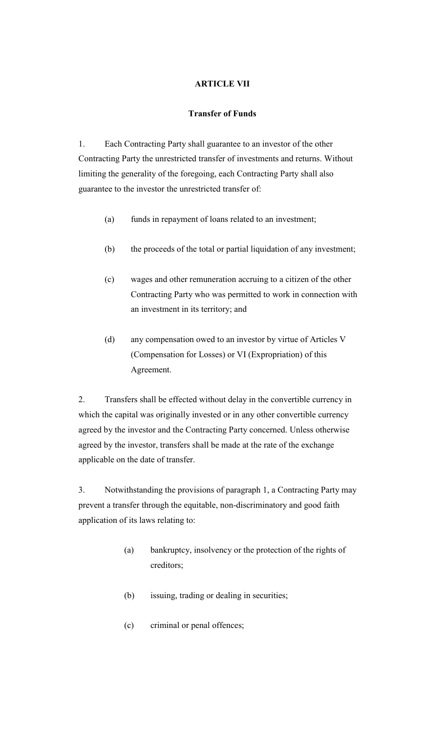## **ARTICLE VII**

### **Transfer of Funds**

1. Each Contracting Party shall guarantee to an investor of the other Contracting Party the unrestricted transfer of investments and returns. Without limiting the generality of the foregoing, each Contracting Party shall also guarantee to the investor the unrestricted transfer of:

- (a) funds in repayment of loans related to an investment;
- (b) the proceeds of the total or partial liquidation of any investment;
- (c) wages and other remuneration accruing to a citizen of the other Contracting Party who was permitted to work in connection with an investment in its territory; and
- (d) any compensation owed to an investor by virtue of Articles V (Compensation for Losses) or VI (Expropriation) of this Agreement.

2. Transfers shall be effected without delay in the convertible currency in which the capital was originally invested or in any other convertible currency agreed by the investor and the Contracting Party concerned. Unless otherwise agreed by the investor, transfers shall be made at the rate of the exchange applicable on the date of transfer.

3. Notwithstanding the provisions of paragraph 1, a Contracting Party may prevent a transfer through the equitable, non-discriminatory and good faith application of its laws relating to:

- (a) bankruptcy, insolvency or the protection of the rights of creditors;
- (b) issuing, trading or dealing in securities;
- (c) criminal or penal offences;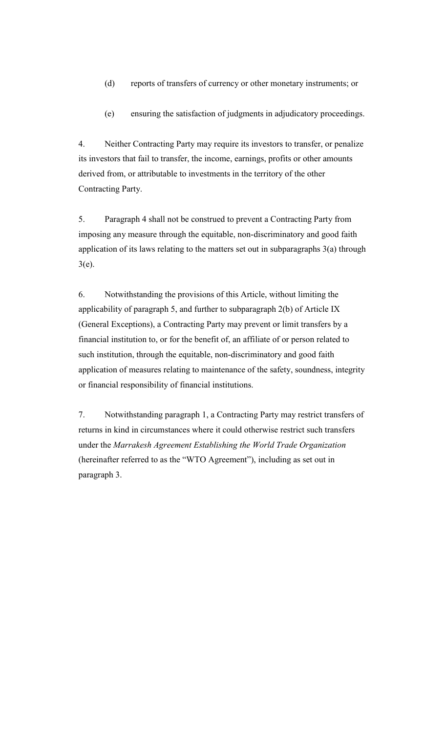- (d) reports of transfers of currency or other monetary instruments; or
- (e) ensuring the satisfaction of judgments in adjudicatory proceedings.

4. Neither Contracting Party may require its investors to transfer, or penalize its investors that fail to transfer, the income, earnings, profits or other amounts derived from, or attributable to investments in the territory of the other Contracting Party.

5. Paragraph 4 shall not be construed to prevent a Contracting Party from imposing any measure through the equitable, non-discriminatory and good faith application of its laws relating to the matters set out in subparagraphs 3(a) through 3(e).

6. Notwithstanding the provisions of this Article, without limiting the applicability of paragraph 5, and further to subparagraph 2(b) of Article IX (General Exceptions), a Contracting Party may prevent or limit transfers by a financial institution to, or for the benefit of, an affiliate of or person related to such institution, through the equitable, non-discriminatory and good faith application of measures relating to maintenance of the safety, soundness, integrity or financial responsibility of financial institutions.

7. Notwithstanding paragraph 1, a Contracting Party may restrict transfers of returns in kind in circumstances where it could otherwise restrict such transfers under the *Marrakesh Agreement Establishing the World Trade Organization* (hereinafter referred to as the "WTO Agreement"), including as set out in paragraph 3.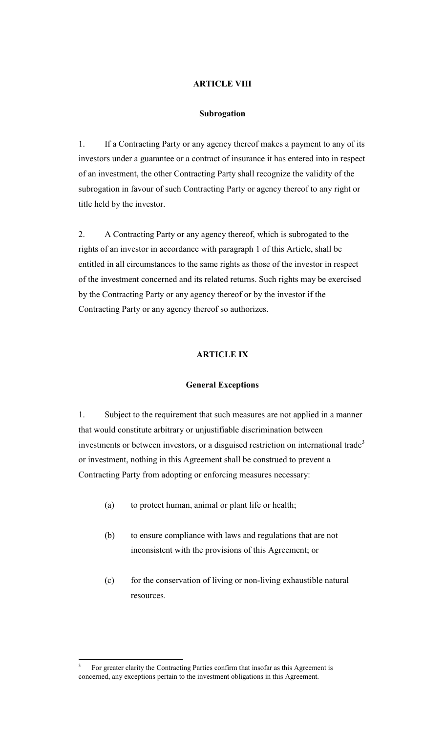### **ARTICLE VIII**

#### **Subrogation**

1. If a Contracting Party or any agency thereof makes a payment to any of its investors under a guarantee or a contract of insurance it has entered into in respect of an investment, the other Contracting Party shall recognize the validity of the subrogation in favour of such Contracting Party or agency thereof to any right or title held by the investor.

2. A Contracting Party or any agency thereof, which is subrogated to the rights of an investor in accordance with paragraph 1 of this Article, shall be entitled in all circumstances to the same rights as those of the investor in respect of the investment concerned and its related returns. Such rights may be exercised by the Contracting Party or any agency thereof or by the investor if the Contracting Party or any agency thereof so authorizes.

## **ARTICLE IX**

#### **General Exceptions**

1. Subject to the requirement that such measures are not applied in a manner that would constitute arbitrary or unjustifiable discrimination between investments or between investors, or a disguised restriction on international trade<sup>3</sup> or investment, nothing in this Agreement shall be construed to prevent a Contracting Party from adopting or enforcing measures necessary:

- (a) to protect human, animal or plant life or health;
- (b) to ensure compliance with laws and regulations that are not inconsistent with the provisions of this Agreement; or
- (c) for the conservation of living or non-living exhaustible natural resources.

<sup>3</sup> For greater clarity the Contracting Parties confirm that insofar as this Agreement is concerned, any exceptions pertain to the investment obligations in this Agreement.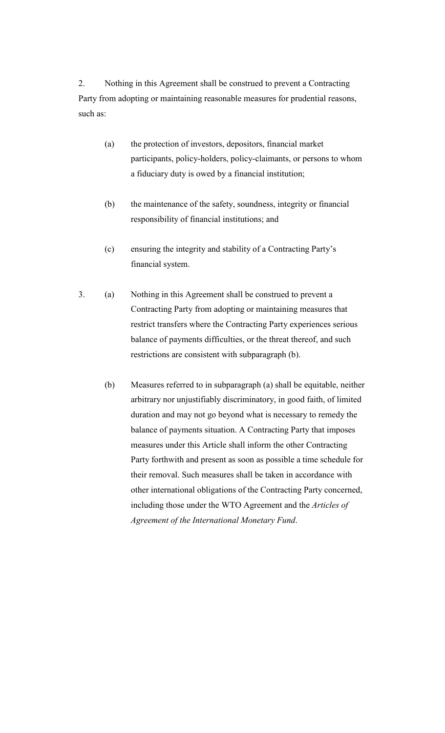2. Nothing in this Agreement shall be construed to prevent a Contracting Party from adopting or maintaining reasonable measures for prudential reasons, such as:

- (a) the protection of investors, depositors, financial market participants, policy-holders, policy-claimants, or persons to whom a fiduciary duty is owed by a financial institution;
- (b) the maintenance of the safety, soundness, integrity or financial responsibility of financial institutions; and
- (c) ensuring the integrity and stability of a Contracting Party's financial system.
- 3. (a) Nothing in this Agreement shall be construed to prevent a Contracting Party from adopting or maintaining measures that restrict transfers where the Contracting Party experiences serious balance of payments difficulties, or the threat thereof, and such restrictions are consistent with subparagraph (b).
	- (b) Measures referred to in subparagraph (a) shall be equitable, neither arbitrary nor unjustifiably discriminatory, in good faith, of limited duration and may not go beyond what is necessary to remedy the balance of payments situation. A Contracting Party that imposes measures under this Article shall inform the other Contracting Party forthwith and present as soon as possible a time schedule for their removal. Such measures shall be taken in accordance with other international obligations of the Contracting Party concerned, including those under the WTO Agreement and the *Articles of Agreement of the International Monetary Fund*.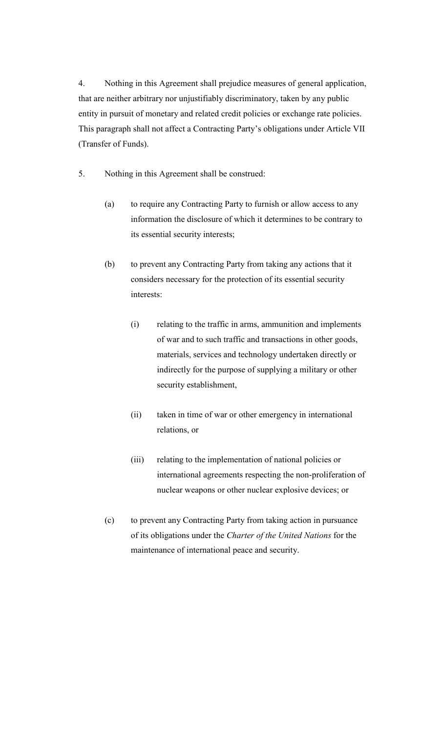4. Nothing in this Agreement shall prejudice measures of general application, that are neither arbitrary nor unjustifiably discriminatory, taken by any public entity in pursuit of monetary and related credit policies or exchange rate policies. This paragraph shall not affect a Contracting Party's obligations under Article VII (Transfer of Funds).

- 5. Nothing in this Agreement shall be construed:
	- (a) to require any Contracting Party to furnish or allow access to any information the disclosure of which it determines to be contrary to its essential security interests;
	- (b) to prevent any Contracting Party from taking any actions that it considers necessary for the protection of its essential security interests:
		- (i) relating to the traffic in arms, ammunition and implements of war and to such traffic and transactions in other goods, materials, services and technology undertaken directly or indirectly for the purpose of supplying a military or other security establishment,
		- (ii) taken in time of war or other emergency in international relations, or
		- (iii) relating to the implementation of national policies or international agreements respecting the non-proliferation of nuclear weapons or other nuclear explosive devices; or
	- (c) to prevent any Contracting Party from taking action in pursuance of its obligations under the *Charter of the United Nations* for the maintenance of international peace and security.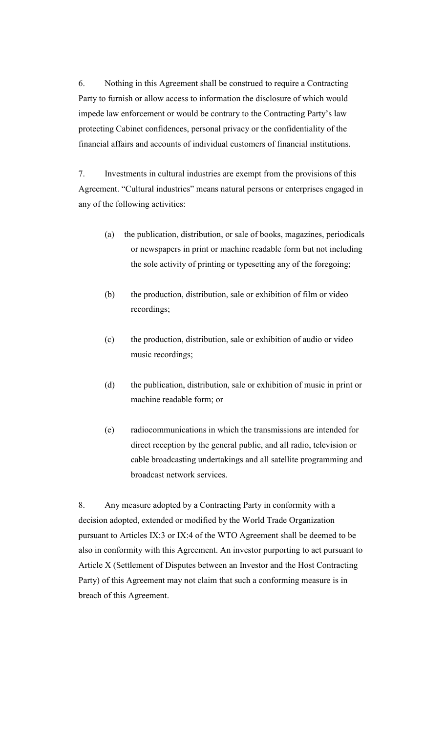6. Nothing in this Agreement shall be construed to require a Contracting Party to furnish or allow access to information the disclosure of which would impede law enforcement or would be contrary to the Contracting Party's law protecting Cabinet confidences, personal privacy or the confidentiality of the financial affairs and accounts of individual customers of financial institutions.

7. Investments in cultural industries are exempt from the provisions of this Agreement. "Cultural industries" means natural persons or enterprises engaged in any of the following activities:

- (a) the publication, distribution, or sale of books, magazines, periodicals or newspapers in print or machine readable form but not including the sole activity of printing or typesetting any of the foregoing;
- (b) the production, distribution, sale or exhibition of film or video recordings;
- (c) the production, distribution, sale or exhibition of audio or video music recordings;
- (d) the publication, distribution, sale or exhibition of music in print or machine readable form; or
- (e) radiocommunications in which the transmissions are intended for direct reception by the general public, and all radio, television or cable broadcasting undertakings and all satellite programming and broadcast network services.

8. Any measure adopted by a Contracting Party in conformity with a decision adopted, extended or modified by the World Trade Organization pursuant to Articles IX:3 or IX:4 of the WTO Agreement shall be deemed to be also in conformity with this Agreement. An investor purporting to act pursuant to Article X (Settlement of Disputes between an Investor and the Host Contracting Party) of this Agreement may not claim that such a conforming measure is in breach of this Agreement.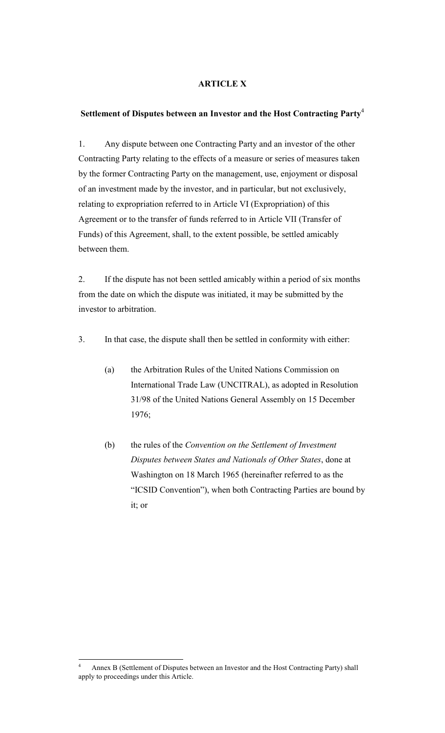## **ARTICLE X**

### **Settlement of Disputes between an Investor and the Host Contracting Party**<sup>4</sup>

1. Any dispute between one Contracting Party and an investor of the other Contracting Party relating to the effects of a measure or series of measures taken by the former Contracting Party on the management, use, enjoyment or disposal of an investment made by the investor, and in particular, but not exclusively, relating to expropriation referred to in Article VI (Expropriation) of this Agreement or to the transfer of funds referred to in Article VII (Transfer of Funds) of this Agreement, shall, to the extent possible, be settled amicably between them.

2. If the dispute has not been settled amicably within a period of six months from the date on which the dispute was initiated, it may be submitted by the investor to arbitration.

- 3. In that case, the dispute shall then be settled in conformity with either:
	- (a) the Arbitration Rules of the United Nations Commission on International Trade Law (UNCITRAL), as adopted in Resolution 31/98 of the United Nations General Assembly on 15 December 1976;
	- (b) the rules of the *Convention on the Settlement of Investment Disputes between States and Nationals of Other States*, done at Washington on 18 March 1965 (hereinafter referred to as the "ICSID Convention"), when both Contracting Parties are bound by it; or

<sup>4</sup> Annex B (Settlement of Disputes between an Investor and the Host Contracting Party) shall apply to proceedings under this Article.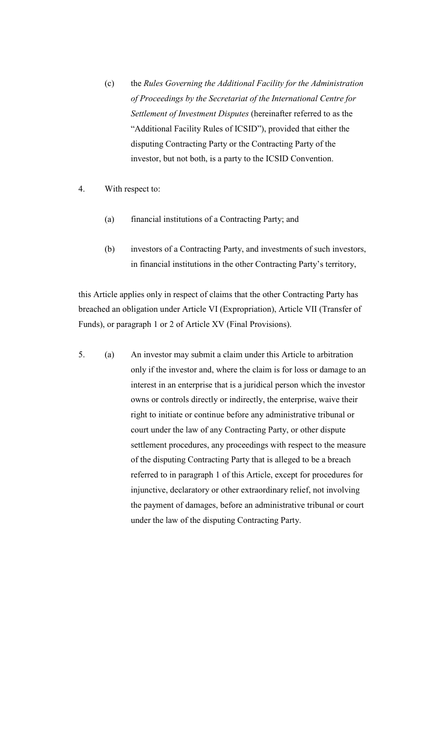- (c) the *Rules Governing the Additional Facility for the Administration of Proceedings by the Secretariat of the International Centre for Settlement of Investment Disputes* (hereinafter referred to as the "Additional Facility Rules of ICSID"), provided that either the disputing Contracting Party or the Contracting Party of the investor, but not both, is a party to the ICSID Convention.
- 4. With respect to:
	- (a) financial institutions of a Contracting Party; and
	- (b) investors of a Contracting Party, and investments of such investors, in financial institutions in the other Contracting Party's territory,

this Article applies only in respect of claims that the other Contracting Party has breached an obligation under Article VI (Expropriation), Article VII (Transfer of Funds), or paragraph 1 or 2 of Article XV (Final Provisions).

5. (a) An investor may submit a claim under this Article to arbitration only if the investor and, where the claim is for loss or damage to an interest in an enterprise that is a juridical person which the investor owns or controls directly or indirectly, the enterprise, waive their right to initiate or continue before any administrative tribunal or court under the law of any Contracting Party, or other dispute settlement procedures, any proceedings with respect to the measure of the disputing Contracting Party that is alleged to be a breach referred to in paragraph 1 of this Article, except for procedures for injunctive, declaratory or other extraordinary relief, not involving the payment of damages, before an administrative tribunal or court under the law of the disputing Contracting Party.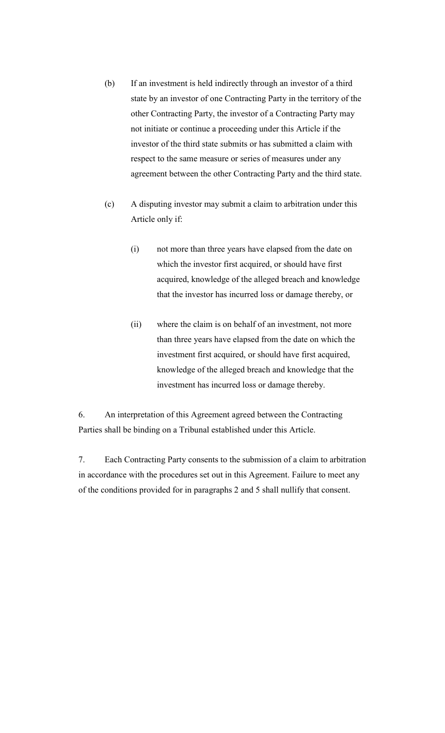- (b) If an investment is held indirectly through an investor of a third state by an investor of one Contracting Party in the territory of the other Contracting Party, the investor of a Contracting Party may not initiate or continue a proceeding under this Article if the investor of the third state submits or has submitted a claim with respect to the same measure or series of measures under any agreement between the other Contracting Party and the third state.
- (c) A disputing investor may submit a claim to arbitration under this Article only if:
	- (i) not more than three years have elapsed from the date on which the investor first acquired, or should have first acquired, knowledge of the alleged breach and knowledge that the investor has incurred loss or damage thereby, or
	- (ii) where the claim is on behalf of an investment, not more than three years have elapsed from the date on which the investment first acquired, or should have first acquired, knowledge of the alleged breach and knowledge that the investment has incurred loss or damage thereby.

6. An interpretation of this Agreement agreed between the Contracting Parties shall be binding on a Tribunal established under this Article.

7. Each Contracting Party consents to the submission of a claim to arbitration in accordance with the procedures set out in this Agreement. Failure to meet any of the conditions provided for in paragraphs 2 and 5 shall nullify that consent.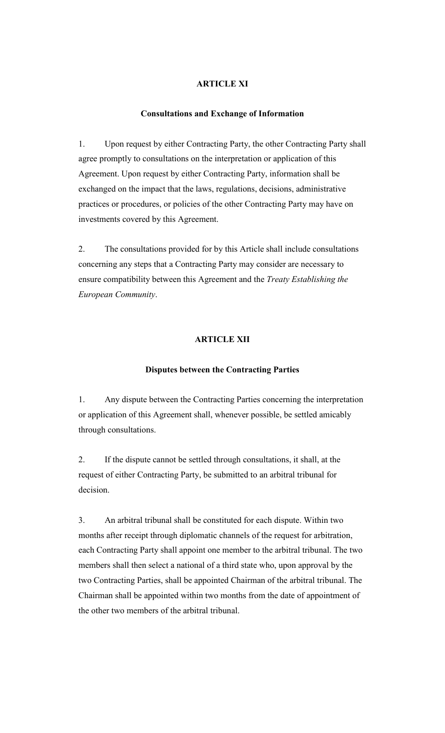## **ARTICLE XI**

#### **Consultations and Exchange of Information**

1. Upon request by either Contracting Party, the other Contracting Party shall agree promptly to consultations on the interpretation or application of this Agreement. Upon request by either Contracting Party, information shall be exchanged on the impact that the laws, regulations, decisions, administrative practices or procedures, or policies of the other Contracting Party may have on investments covered by this Agreement.

2. The consultations provided for by this Article shall include consultations concerning any steps that a Contracting Party may consider are necessary to ensure compatibility between this Agreement and the *Treaty Establishing the European Community*.

#### **ARTICLE XII**

#### **Disputes between the Contracting Parties**

1. Any dispute between the Contracting Parties concerning the interpretation or application of this Agreement shall, whenever possible, be settled amicably through consultations.

2. If the dispute cannot be settled through consultations, it shall, at the request of either Contracting Party, be submitted to an arbitral tribunal for decision.

3. An arbitral tribunal shall be constituted for each dispute. Within two months after receipt through diplomatic channels of the request for arbitration, each Contracting Party shall appoint one member to the arbitral tribunal. The two members shall then select a national of a third state who, upon approval by the two Contracting Parties, shall be appointed Chairman of the arbitral tribunal. The Chairman shall be appointed within two months from the date of appointment of the other two members of the arbitral tribunal.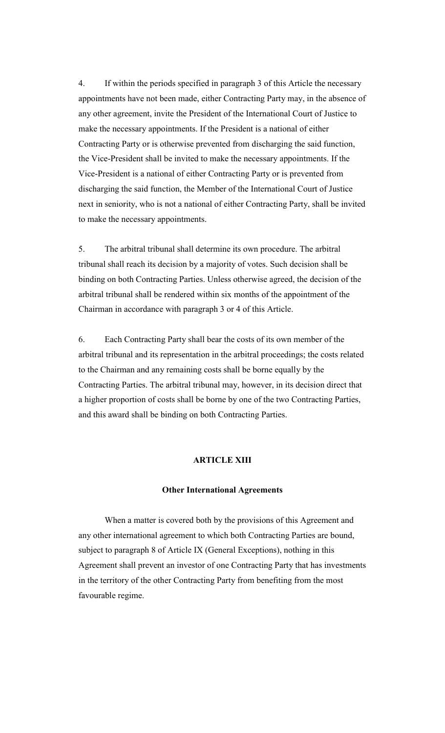4. If within the periods specified in paragraph 3 of this Article the necessary appointments have not been made, either Contracting Party may, in the absence of any other agreement, invite the President of the International Court of Justice to make the necessary appointments. If the President is a national of either Contracting Party or is otherwise prevented from discharging the said function, the Vice-President shall be invited to make the necessary appointments. If the Vice-President is a national of either Contracting Party or is prevented from discharging the said function, the Member of the International Court of Justice next in seniority, who is not a national of either Contracting Party, shall be invited to make the necessary appointments.

5. The arbitral tribunal shall determine its own procedure. The arbitral tribunal shall reach its decision by a majority of votes. Such decision shall be binding on both Contracting Parties. Unless otherwise agreed, the decision of the arbitral tribunal shall be rendered within six months of the appointment of the Chairman in accordance with paragraph 3 or 4 of this Article.

6. Each Contracting Party shall bear the costs of its own member of the arbitral tribunal and its representation in the arbitral proceedings; the costs related to the Chairman and any remaining costs shall be borne equally by the Contracting Parties. The arbitral tribunal may, however, in its decision direct that a higher proportion of costs shall be borne by one of the two Contracting Parties, and this award shall be binding on both Contracting Parties.

#### **ARTICLE XIII**

#### **Other International Agreements**

When a matter is covered both by the provisions of this Agreement and any other international agreement to which both Contracting Parties are bound, subject to paragraph 8 of Article IX (General Exceptions), nothing in this Agreement shall prevent an investor of one Contracting Party that has investments in the territory of the other Contracting Party from benefiting from the most favourable regime.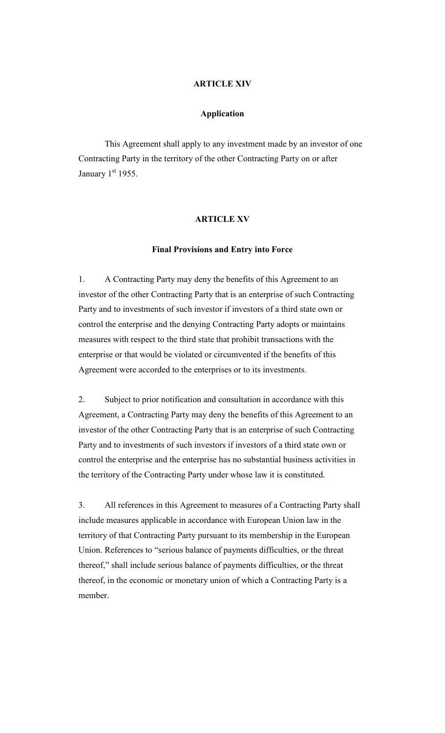#### **ARTICLE XIV**

#### **Application**

This Agreement shall apply to any investment made by an investor of one Contracting Party in the territory of the other Contracting Party on or after January  $1<sup>st</sup>$  1955.

#### **ARTICLE XV**

#### **Final Provisions and Entry into Force**

1. A Contracting Party may deny the benefits of this Agreement to an investor of the other Contracting Party that is an enterprise of such Contracting Party and to investments of such investor if investors of a third state own or control the enterprise and the denying Contracting Party adopts or maintains measures with respect to the third state that prohibit transactions with the enterprise or that would be violated or circumvented if the benefits of this Agreement were accorded to the enterprises or to its investments.

2. Subject to prior notification and consultation in accordance with this Agreement, a Contracting Party may deny the benefits of this Agreement to an investor of the other Contracting Party that is an enterprise of such Contracting Party and to investments of such investors if investors of a third state own or control the enterprise and the enterprise has no substantial business activities in the territory of the Contracting Party under whose law it is constituted.

3. All references in this Agreement to measures of a Contracting Party shall include measures applicable in accordance with European Union law in the territory of that Contracting Party pursuant to its membership in the European Union. References to "serious balance of payments difficulties, or the threat thereof," shall include serious balance of payments difficulties, or the threat thereof, in the economic or monetary union of which a Contracting Party is a member.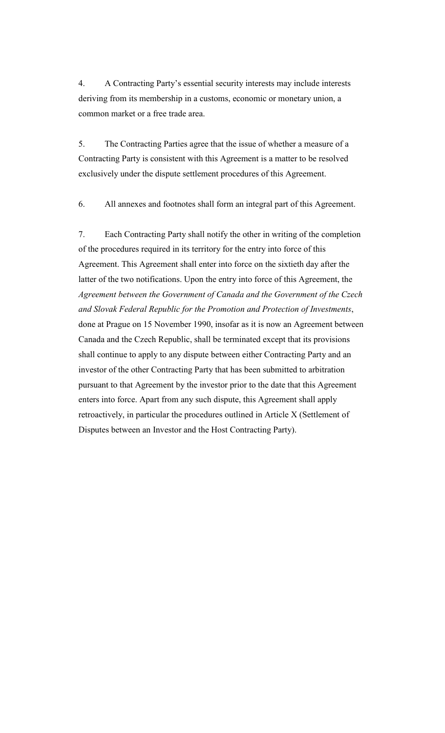4. A Contracting Party's essential security interests may include interests deriving from its membership in a customs, economic or monetary union, a common market or a free trade area.

5. The Contracting Parties agree that the issue of whether a measure of a Contracting Party is consistent with this Agreement is a matter to be resolved exclusively under the dispute settlement procedures of this Agreement.

6. All annexes and footnotes shall form an integral part of this Agreement.

7. Each Contracting Party shall notify the other in writing of the completion of the procedures required in its territory for the entry into force of this Agreement. This Agreement shall enter into force on the sixtieth day after the latter of the two notifications. Upon the entry into force of this Agreement, the *Agreement between the Government of Canada and the Government of the Czech and Slovak Federal Republic for the Promotion and Protection of Investments*, done at Prague on 15 November 1990, insofar as it is now an Agreement between Canada and the Czech Republic, shall be terminated except that its provisions shall continue to apply to any dispute between either Contracting Party and an investor of the other Contracting Party that has been submitted to arbitration pursuant to that Agreement by the investor prior to the date that this Agreement enters into force. Apart from any such dispute, this Agreement shall apply retroactively, in particular the procedures outlined in Article X (Settlement of Disputes between an Investor and the Host Contracting Party).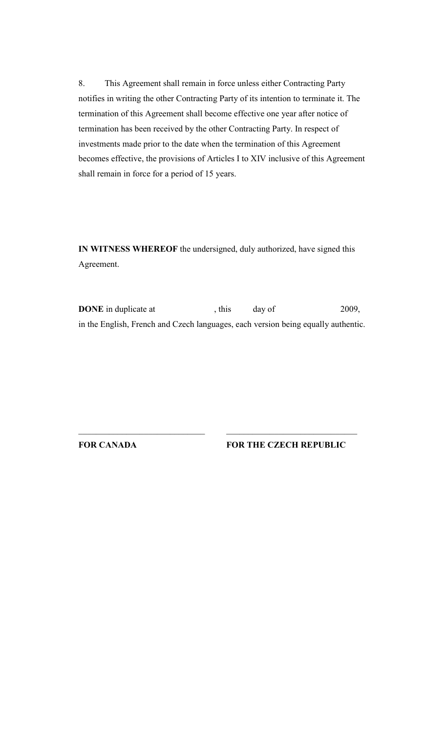8. This Agreement shall remain in force unless either Contracting Party notifies in writing the other Contracting Party of its intention to terminate it. The termination of this Agreement shall become effective one year after notice of termination has been received by the other Contracting Party. In respect of investments made prior to the date when the termination of this Agreement becomes effective, the provisions of Articles I to XIV inclusive of this Agreement shall remain in force for a period of 15 years.

**IN WITNESS WHEREOF** the undersigned, duly authorized, have signed this Agreement.

**DONE** in duplicate at , this day of 2009, in the English, French and Czech languages, each version being equally authentic.

**FOR CANADA**

 $\mathcal{L}_\text{max}$ 

**FOR THE CZECH REPUBLIC**

 $\mathcal{L}_\text{max}$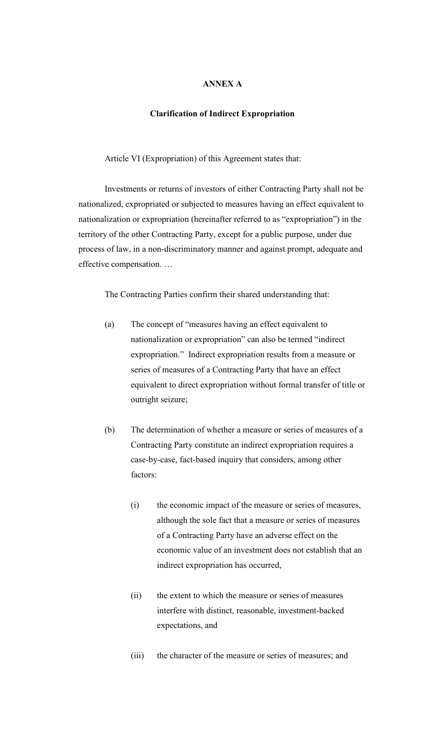# **ANNEX A**

#### **Clarification of Indirect Expropriation**

Article VI (Expropriation) of this Agreement states that:

Investments or returns of investors of either Contracting Party shall not be nationalized, expropriated or subjected to measures having an effect equivalent to nationalization or expropriation (hereinafter referred to as "expropriation") in the territory of the other Contracting Party, except for a public purpose, under due process of law, in a non-discriminatory manner and against prompt, adequate and effective compensation. …

The Contracting Parties confirm their shared understanding that:

- (a) The concept of "measures having an effect equivalent to nationalization or expropriation" can also be termed "indirect expropriation." Indirect expropriation results from a measure or series of measures of a Contracting Party that have an effect equivalent to direct expropriation without formal transfer of title or outright seizure;
- (b) The determination of whether a measure or series of measures of a Contracting Party constitute an indirect expropriation requires a case-by-case, fact-based inquiry that considers, among other factors:
	- (i) the economic impact of the measure or series of measures, although the sole fact that a measure or series of measures of a Contracting Party have an adverse effect on the economic value of an investment does not establish that an indirect expropriation has occurred,
	- (ii) the extent to which the measure or series of measures interfere with distinct, reasonable, investment-backed expectations, and
	- (iii) the character of the measure or series of measures; and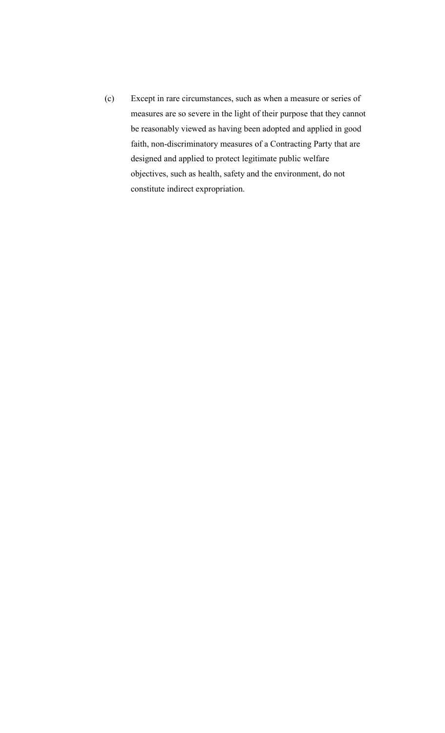(c) Except in rare circumstances, such as when a measure or series of measures are so severe in the light of their purpose that they cannot be reasonably viewed as having been adopted and applied in good faith, non-discriminatory measures of a Contracting Party that are designed and applied to protect legitimate public welfare objectives, such as health, safety and the environment, do not constitute indirect expropriation.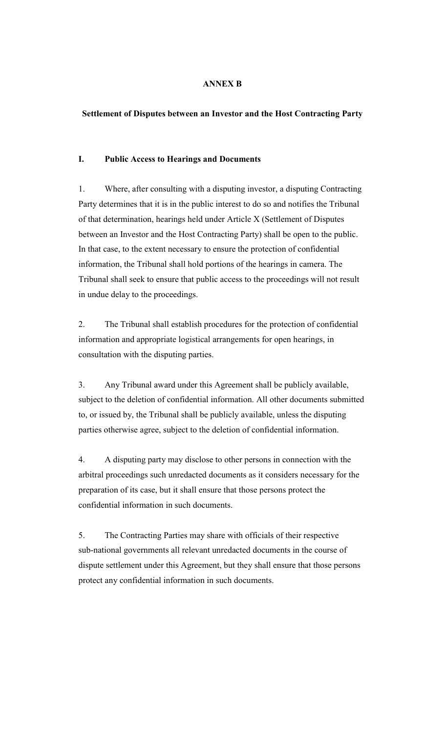# **ANNEX B**

## **Settlement of Disputes between an Investor and the Host Contracting Party**

### **I. Public Access to Hearings and Documents**

1. Where, after consulting with a disputing investor, a disputing Contracting Party determines that it is in the public interest to do so and notifies the Tribunal of that determination, hearings held under Article X (Settlement of Disputes between an Investor and the Host Contracting Party) shall be open to the public. In that case, to the extent necessary to ensure the protection of confidential information, the Tribunal shall hold portions of the hearings in camera. The Tribunal shall seek to ensure that public access to the proceedings will not result in undue delay to the proceedings.

2. The Tribunal shall establish procedures for the protection of confidential information and appropriate logistical arrangements for open hearings, in consultation with the disputing parties.

3. Any Tribunal award under this Agreement shall be publicly available, subject to the deletion of confidential information. All other documents submitted to, or issued by, the Tribunal shall be publicly available, unless the disputing parties otherwise agree, subject to the deletion of confidential information.

4. A disputing party may disclose to other persons in connection with the arbitral proceedings such unredacted documents as it considers necessary for the preparation of its case, but it shall ensure that those persons protect the confidential information in such documents.

5. The Contracting Parties may share with officials of their respective sub-national governments all relevant unredacted documents in the course of dispute settlement under this Agreement, but they shall ensure that those persons protect any confidential information in such documents.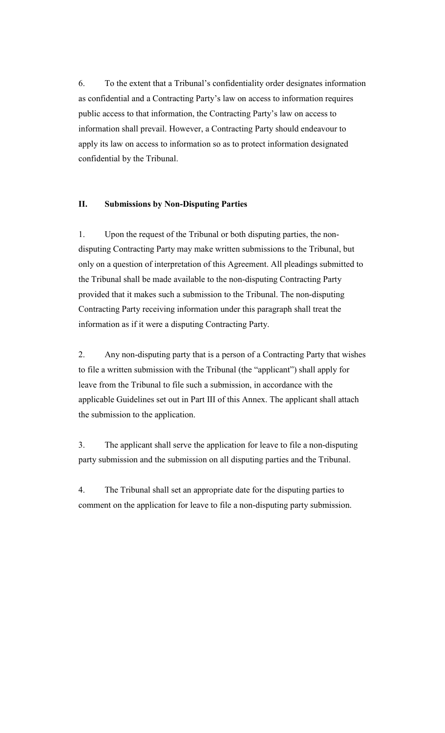6. To the extent that a Tribunal's confidentiality order designates information as confidential and a Contracting Party's law on access to information requires public access to that information, the Contracting Party's law on access to information shall prevail. However, a Contracting Party should endeavour to apply its law on access to information so as to protect information designated confidential by the Tribunal.

### **II. Submissions by Non-Disputing Parties**

1. Upon the request of the Tribunal or both disputing parties, the nondisputing Contracting Party may make written submissions to the Tribunal, but only on a question of interpretation of this Agreement. All pleadings submitted to the Tribunal shall be made available to the non-disputing Contracting Party provided that it makes such a submission to the Tribunal. The non-disputing Contracting Party receiving information under this paragraph shall treat the information as if it were a disputing Contracting Party.

2. Any non-disputing party that is a person of a Contracting Party that wishes to file a written submission with the Tribunal (the "applicant") shall apply for leave from the Tribunal to file such a submission, in accordance with the applicable Guidelines set out in Part III of this Annex. The applicant shall attach the submission to the application.

3. The applicant shall serve the application for leave to file a non-disputing party submission and the submission on all disputing parties and the Tribunal.

4. The Tribunal shall set an appropriate date for the disputing parties to comment on the application for leave to file a non-disputing party submission.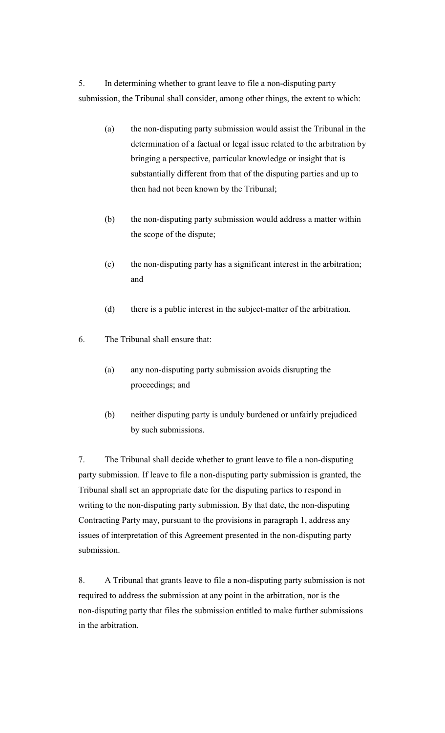5. In determining whether to grant leave to file a non-disputing party submission, the Tribunal shall consider, among other things, the extent to which:

- (a) the non-disputing party submission would assist the Tribunal in the determination of a factual or legal issue related to the arbitration by bringing a perspective, particular knowledge or insight that is substantially different from that of the disputing parties and up to then had not been known by the Tribunal;
- (b) the non-disputing party submission would address a matter within the scope of the dispute;
- (c) the non-disputing party has a significant interest in the arbitration; and
- (d) there is a public interest in the subject-matter of the arbitration.
- 6. The Tribunal shall ensure that:
	- (a) any non-disputing party submission avoids disrupting the proceedings; and
	- (b) neither disputing party is unduly burdened or unfairly prejudiced by such submissions.

7. The Tribunal shall decide whether to grant leave to file a non-disputing party submission. If leave to file a non-disputing party submission is granted, the Tribunal shall set an appropriate date for the disputing parties to respond in writing to the non-disputing party submission. By that date, the non-disputing Contracting Party may, pursuant to the provisions in paragraph 1, address any issues of interpretation of this Agreement presented in the non-disputing party submission.

8. A Tribunal that grants leave to file a non-disputing party submission is not required to address the submission at any point in the arbitration, nor is the non-disputing party that files the submission entitled to make further submissions in the arbitration.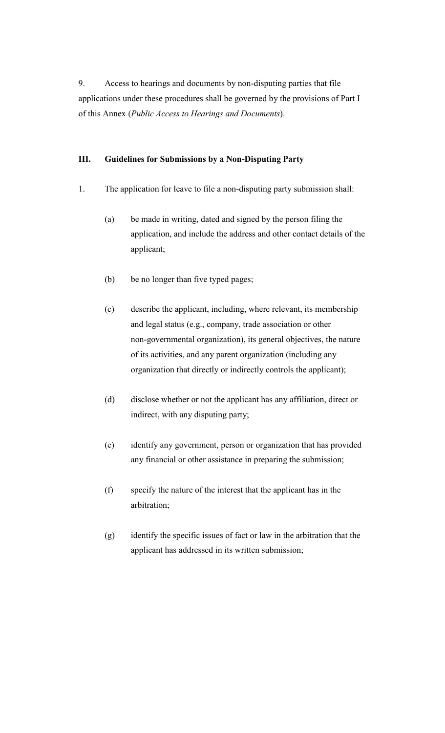9. Access to hearings and documents by non-disputing parties that file applications under these procedures shall be governed by the provisions of Part I of this Annex (*Public Access to Hearings and Documents*).

## **III. Guidelines for Submissions by a Non-Disputing Party**

- 1. The application for leave to file a non-disputing party submission shall:
	- (a) be made in writing, dated and signed by the person filing the application, and include the address and other contact details of the applicant;
	- (b) be no longer than five typed pages;
	- (c) describe the applicant, including, where relevant, its membership and legal status (e.g., company, trade association or other non-governmental organization), its general objectives, the nature of its activities, and any parent organization (including any organization that directly or indirectly controls the applicant);
	- (d) disclose whether or not the applicant has any affiliation, direct or indirect, with any disputing party;
	- (e) identify any government, person or organization that has provided any financial or other assistance in preparing the submission;
	- (f) specify the nature of the interest that the applicant has in the arbitration;
	- (g) identify the specific issues of fact or law in the arbitration that the applicant has addressed in its written submission;